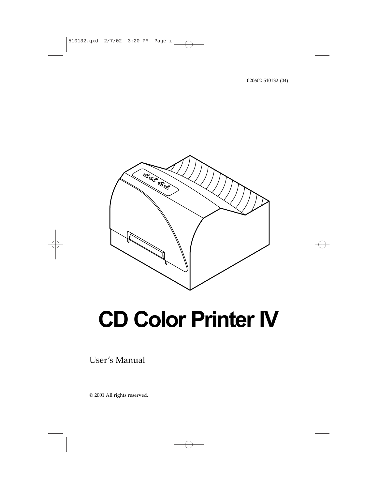020602-510132-(04)



# **CD Color Printer IV**

User's Manual

© 2001 All rights reserved.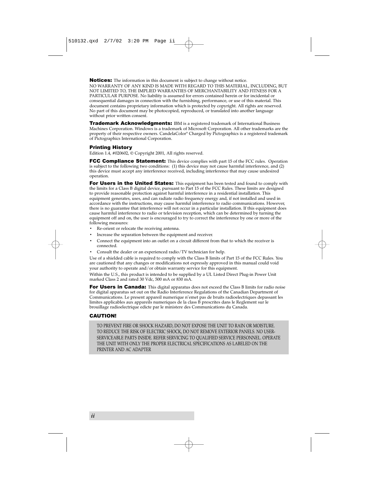Notices: The information in this document is subject to change without notice. NO WARRANTY OF ANY KIND IS MADE WITH REGARD TO THIS MATERIAL, INCLUDING, BUT NOT LIMITED TO, THE IMPLIED WARRANTIES OF MERCHANTABILITY AND FITNESS FOR A PARTICULAR PURPOSE. No liability is assumed for errors contained herein or for incidental or consequential damages in connection with the furnishing, performance, or use of this material. This document contains proprietary information which is protected by copyright. All rights are reserved. No part of this document may be photocopied, reproduced, or translated into another language without prior written consent.

**Trademark Acknowledgments:** IBM is a registered trademark of International Business Machines Corporation. Windows is a trademark of Microsoft Corporation. All other trademarks are the property of their respective owners. CandelaColor® Charged by Pictographics is a registered trademark of Pictographics International Corporation.

#### Printing History

Edition 1.4, #020602, © Copyright 2001, All rights reserved.

**FCC Compliance Statement:** This device complies with part 15 of the FCC rules. Operation is subject to the following two conditions: (1) this device may not cause harmful interference, and (2) this device must accept any interference received, including interference that may cause undesired operation.

For Users in the United States: This equipment has been tested and found to comply with the limits for a Class B digital device, pursuant to Part 15 of the FCC Rules. These limits are designed to provide reasonable protection against harmful interference in a residential installation. This equipment generates, uses, and can radiate radio frequency energy and, if not installed and used in accordance with the instructions, may cause harmful interference to radio communications. However, there is no guarantee that interference will not occur in a particular installation. If this equipment does cause harmful interference to radio or television reception, which can be determined by turning the equipment off and on, the user is encouraged to try to correct the interference by one or more of the following measures:

- Re-orient or relocate the receiving antenna.
- Increase the separation between the equipment and receiver.
- Connect the equipment into an outlet on a circuit different from that to which the receiver is connected.
- Consult the dealer or an experienced radio/TV technician for help.

Use of a shielded cable is required to comply with the Class B limits of Part 15 of the FCC Rules. You are cautioned that any changes or modifications not expressly approved in this manual could void your authority to operate and/or obtain warranty service for this equipment.

Within the U.S., this product is intended to be supplied by a UL Listed Direct Plug-in Power Unit marked Class 2 and rated 30 Vdc, 500 mA or 830 mA.

For Users in Canada: This digital apparatus does not exceed the Class B limits for radio noise for digital apparatus set out on the Radio Interference Regulations of the Canadian Department of Communications. Le present appareil numerique n'emet pas de bruits radioelectriques depassant les limites applicables aux appareils numeriques de la class B prescrites dans le Reglement sur le brouillage radioelectrique edicte par le ministere des Communications du Canada.

#### CAUTION!

TO PREVENT FIRE OR SHOCK HAZARD, DO NOT EXPOSE THE UNIT TO RAIN OR MOISTURE. TO REDUCE THE RISK OF ELECTRIC SHOCK, DO NOT REMOVE EXTERIOR PANELS. NO USER-SERVICEABLE PARTS INSIDE. REFER SERVICING TO QUALIFIED SERVICE PERSONNEL. OPERATE THE UNIT WITH ONLY THE PROPER ELECTRICAL SPECIFICATIONS AS LABELED ON THE PRINTER AND AC ADAPTER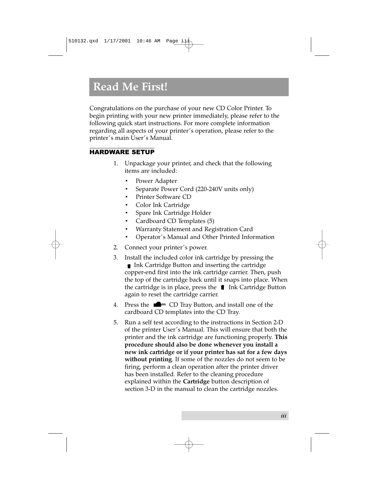## **Read Me First!**

Congratulations on the purchase of your new CD Color Printer. To begin printing with your new printer immediately, please refer to the following quick start instructions. For more complete information regarding all aspects of your printer's operation, please refer to the printer's main User's Manual.

## **HARDWARE SETUP**

- Unpackage your printer, and check that the following  $\mathbf{1}$ . items are included:
	- Power Adapter
	- Separate Power Cord (220-240V units only)
	- **Printer Software CD**
	- Color Ink Cartridge
	- Spare Ink Cartridge Holder
	- Cardboard CD Templates (5)  $\bullet$
	- Warranty Statement and Registration Card
	- Operator's Manual and Other Printed Information
- 2. Connect your printer's power.
- 3. Install the included color ink cartridge by pressing the **■** Ink Cartridge Button and inserting the cartridge copper-end first into the ink cartridge carrier. Then, push the top of the cartridge back until it snaps into place. When the cartridge is in place, press the  $\bullet$  Ink Cartridge Button again to reset the cartridge carrier.
- Press the  $\blacksquare$  CD Tray Button, and install one of the 4. cardboard CD templates into the CD Tray.
- Run a self test according to the instructions in Section 2-D 5. of the printer User's Manual. This will ensure that both the printer and the ink cartridge are functioning properly. This procedure should also be done whenever you install a new ink cartridge or if your printer has sat for a few days without printing. If some of the nozzles do not seem to be firing, perform a clean operation after the printer driver has been installed. Refer to the cleaning procedure explained within the Cartridge button description of section 3-D in the manual to clean the cartridge nozzles.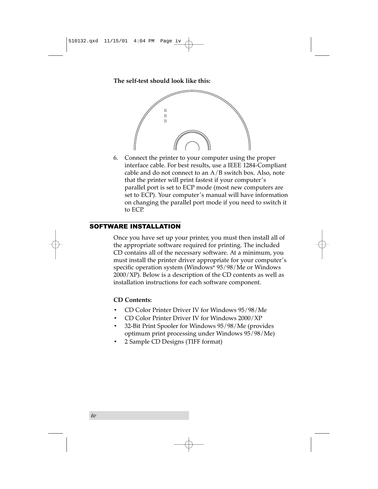**The self-test should look like this:**



6. Connect the printer to your computer using the proper interface cable. For best results, use a IEEE 1284-Compliant cable and do not connect to an  $A/B$  switch box. Also, note that the printer will print fastest if your computer's parallel port is set to ECP mode (most new computers are set to ECP). Your computer's manual will have information on changing the parallel port mode if you need to switch it to ECP.

## SOFTWARE INSTALLATION

Once you have set up your printer, you must then install all of the appropriate software required for printing. The included CD contains all of the necessary software. At a minimum, you must install the printer driver appropriate for your computer's specific operation system (Windows® 95/98/Me or Windows  $2000/XP$ ). Below is a description of the CD contents as well as installation instructions for each software component.

## **CD Contents:**

- CD Color Printer Driver IV for Windows 95/98/Me
- CD Color Printer Driver IV for Windows 2000/XP
- 32-Bit Print Spooler for Windows 95/98/Me (provides optimum print processing under Windows 95/98/Me)
- 2 Sample CD Designs (TIFF format)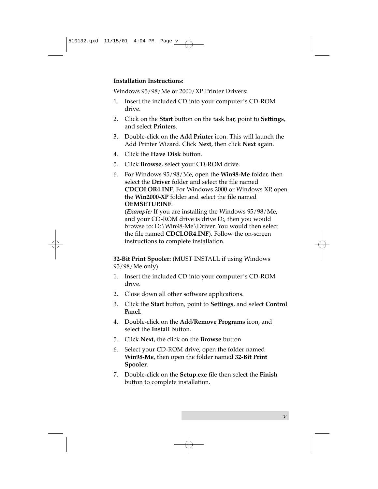## **Installation Instructions:**

Windows 95/98/Me or 2000/XP Printer Drivers:

- 1. Insert the included CD into your computer's CD-ROM drive.
- 2. Click on the **Start** button on the task bar, point to **Settings**, and select **Printers**.
- 3. Double-click on the **Add Printer** icon. This will launch the Add Printer Wizard. Click **Next**, then click **Next** again.
- 4. Click the **Have Disk** button.
- 5. Click **Browse**, select your CD-ROM drive.
- 6. For Windows 95/98/Me, open the **Win98-Me** folder, then select the **Driver** folder and select the file named **CDCOLOR4.INF**. For Windows 2000 or Windows XP, open the **Win2000-XP** folder and select the file named **OEMSETUP.INF**.

(*Example:* If you are installing the Windows 95/98/Me, and your CD-ROM drive is drive D:, then you would browse to: D:\Win98-Me\Driver. You would then select the file named **CDCLOR4.INF**). Follow the on-screen instructions to complete installation.

**32-Bit Print Spooler:** (MUST INSTALL if using Windows 95/98/Me only)

- 1. Insert the included CD into your computer's CD-ROM drive.
- 2. Close down all other software applications.
- 3. Click the **Start** button, point to **Settings**, and select **Control Panel**.
- 4. Double-click on the **Add/Remove Programs** icon, and select the **Install** button.
- 5. Click **Next**, the click on the **Browse** button.
- 6. Select your CD-ROM drive, open the folder named **Win98-Me**, then open the folder named **32-Bit Print Spooler**.
- 7. Double-click on the **Setup.exe** file then select the **Finish** button to complete installation.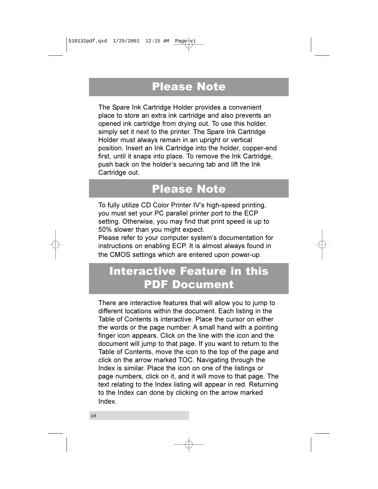## **Please Note**

The Spare Ink Cartridge Holder provides a convenient place to store an extra ink cartridge and also prevents an opened ink cartridge from drying out. To use this holder, simply set it next to the printer. The Spare Ink Cartridge Holder must always remain in an upright or vertical position. Insert an Ink Cartridge into the holder, copper-end first, until it snaps into place. To remove the Ink Cartridge, push back on the holder's securing tab and lift the Ink Cartridge out.

## **Please Note**

To fully utilize CD Color Printer IV's high-speed printing, you must set your PC parallel printer port to the ECP setting. Otherwise, you may find that print speed is up to 50% slower than you might expect.

Please refer to your computer system's documentation for instructions on enabling ECP. It is almost always found in the CMOS settings which are entered upon power-up.

## **Interactive Feature in this PDF Document**

There are interactive features that will allow you to jump to different locations within the document. Each listing in the Table of Contents is interactive. Place the cursor on either the words or the page number. A small hand with a pointing finger icon appears. Click on the line with the icon and the document will jump to that page. If you want to return to the Table of Contents, move the icon to the top of the page and click on the arrow marked TOC. Navigating through the Index is similar. Place the icon on one of the listings or page numbers, click on it, and it will move to that page. The text relating to the Index listing will appear in red. Returning to the Index can done by clicking on the arrow marked Index.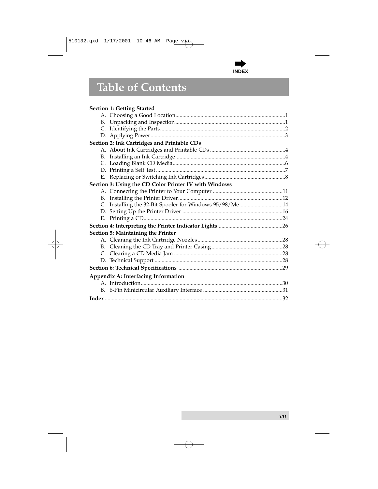

## **Table of Contents**

## **Section 1: Getting Started**

| Section 2: Ink Cartridges and Printable CDs             |  |
|---------------------------------------------------------|--|
|                                                         |  |
|                                                         |  |
|                                                         |  |
|                                                         |  |
|                                                         |  |
| Section 3: Using the CD Color Printer IV with Windows   |  |
|                                                         |  |
|                                                         |  |
| C. Installing the 32-Bit Spooler for Windows 95/98/Me14 |  |
|                                                         |  |
|                                                         |  |
|                                                         |  |
| Section 5: Maintaining the Printer                      |  |
|                                                         |  |
|                                                         |  |
|                                                         |  |
|                                                         |  |
|                                                         |  |
| Appendix A: Interfacing Information                     |  |
|                                                         |  |
|                                                         |  |
|                                                         |  |
|                                                         |  |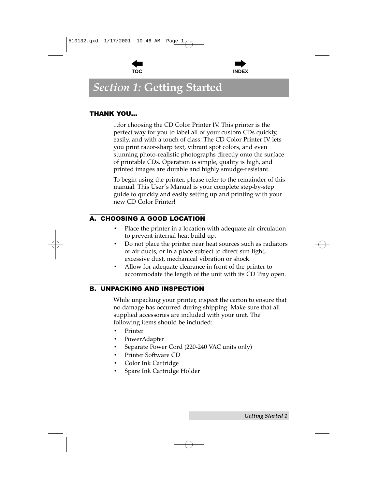



## <span id="page-8-0"></span>**Section 1: Getting Started**

## **THANK YOU...**

...for choosing the CD Color Printer IV. This printer is the perfect way for you to label all of your custom CDs quickly, easily, and with a touch of class. The CD Color Printer IV lets you print razor-sharp text, vibrant spot colors, and even stunning photo-realistic photographs directly onto the surface of printable CDs. Operation is simple, quality is high, and printed images are durable and highly smudge-resistant.

To begin using the printer, please refer to the remainder of this manual. This User's Manual is your complete step-by-step guide to quickly and easily setting up and printing with your new CD Color Printer!

## A. CHOOSING A GOOD LOCATION

- Place the printer in a location with adequate air circulation to prevent internal heat build up.
- Do not place the printer near heat sources such as radiators or air ducts, or in a place subject to direct sun-light, excessive dust, mechanical vibration or shock.
- Allow for adequate clearance in front of the printer to accommodate the length of the unit with its CD Tray open.

## **B. UNPACKING AND INSPECTION**

While unpacking your printer, inspect the carton to ensure that no damage has occurred during shipping. Make sure that all supplied accessories are included with your unit. The following items should be included:

- Printer
- PowerAdapter
- Separate Power Cord (220-240 VAC units only)  $\bullet$
- Printer Software CD
- Color Ink Cartridge
- Spare Ink Cartridge Holder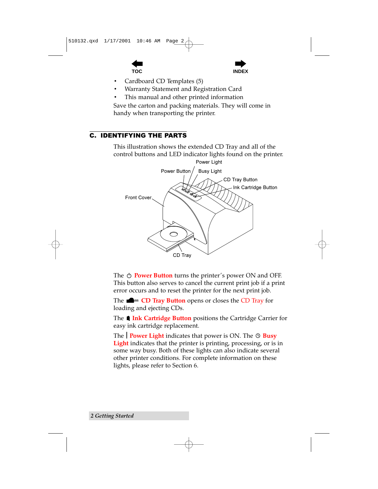



- <span id="page-9-0"></span>Cardboard CD Templates (5)
- Warranty Statement and Registration Card
- This manual and other printed information

Save the carton and packing materials. They will come in handy when transporting the printer.

## **C. IDENTIFYING THE PARTS**

This illustration shows the extended CD Tray and all of the control buttons and LED indicator lights found on the printer.



The  $\circlearrowright$  **Power Button** turns the printer's power ON and OFF. This button also serves to cancel the current print job if a print error occurs and to reset the printer for the next print job.

The  $\blacksquare$  = CD Tray Button opens or closes the CD Tray for loading and ejecting CDs.

The **■ Ink Cartridge Button** positions the Cartridge Carrier for easy ink cartridge replacement.

The  $\vert$  **Power Light** indicates that power is ON. The  $\circledcirc$  **Busy Light** indicates that the printer is printing, processing, or is in some way busy. Both of these lights can also indicate several other printer conditions. For complete information on these lights, please refer to Section 6.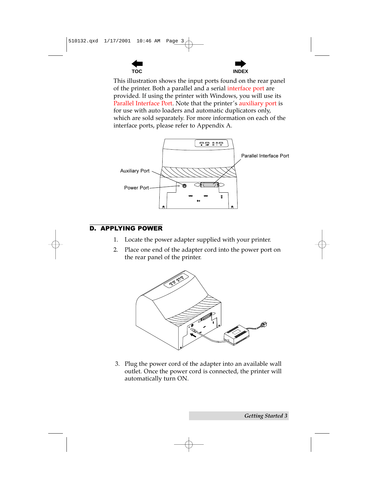



<span id="page-10-0"></span>This illustration shows the input ports found on the rear panel of the printer. Both a parallel and a serial interface port are provided. If using the printer with Windows, you will use its Parallel Interface Port. Note that the printer's auxiliary port is for use with auto loaders and automatic duplicators only, which are sold separately. For more information on each of the interface ports, please refer to Appendix A.



## **D. APPLYING POWER**

- Locate the power adapter supplied with your printer. 1.
- 2. Place one end of the adapter cord into the power port on the rear panel of the printer.



3. Plug the power cord of the adapter into an available wall outlet. Once the power cord is connected, the printer will automatically turn ON.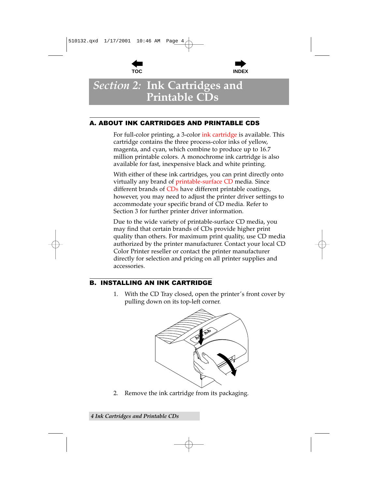



## <span id="page-11-0"></span>**Section 2: Ink Cartridges and Printable CDs**

## A. ABOUT INK CARTRIDGES AND PRINTABLE CDS

For full-color printing, a 3-color ink cartridge is available. This cartridge contains the three process-color inks of yellow, magenta, and cyan, which combine to produce up to 16.7 million printable colors. A monochrome ink cartridge is also available for fast, inexpensive black and white printing.

With either of these ink cartridges, you can print directly onto virtually any brand of printable-surface CD media. Since different brands of CDs have different printable coatings, however, you may need to adjust the printer driver settings to accommodate your specific brand of CD media. Refer to Section 3 for further printer driver information.

Due to the wide variety of printable-surface CD media, you may find that certain brands of CDs provide higher print quality than others. For maximum print quality, use CD media authorized by the printer manufacturer. Contact your local CD Color Printer reseller or contact the printer manufacturer directly for selection and pricing on all printer supplies and accessories.

## **B. INSTALLING AN INK CARTRIDGE**

With the CD Tray closed, open the printer's front cover by 1. pulling down on its top-left corner.



Remove the ink cartridge from its packaging. 2.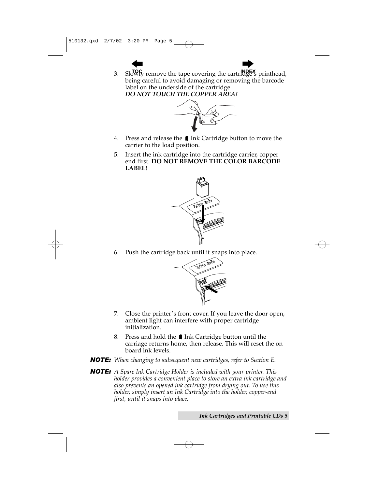3. Slowly remove the tape covering the cartrlage<sup>x</sup> printhead, being careful to avoid damaging or removing the barcode label on the underside of the cartridge. *DO NOT TOUCH THE COPPER AREA!*



- 4. Press and release the **1** Ink Cartridge button to move the carrier to the load position.
- 5. Insert the ink cartridge into the cartridge carrier, copper end first. **DO NOT REMOVE THE COLOR BARCODE LABEL!**



6. Push the cartridge back until it snaps into place.



- 7. Close the printer's front cover. If you leave the door open, ambient light can interfere with proper cartridge initialization.
- 8. Press and hold the **1** Ink Cartridge button until the carriage returns home, then release. This will reset the on board ink levels.
- *NOTE: When changing to subsequent new cartridges, refer to Section E.*
- *NOTE: A Spare Ink Cartridge Holder is included with your printer. This holder provides a convenient place to store an extra ink cartridge and also prevents an opened ink cartridge from drying out. To use this holder, simply insert an Ink Cartridge into the holder, copper-end first, until it snaps into place.*

*Ink Cartridges and Printable CDs 5*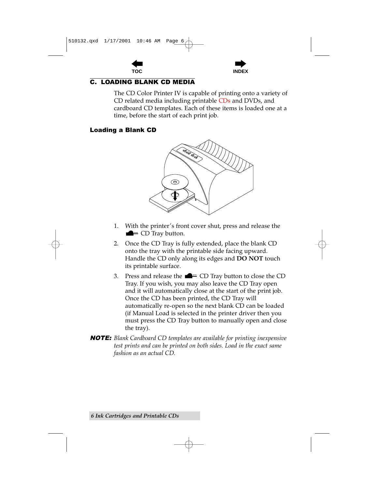



## <span id="page-13-0"></span>**C. LOADING BLANK CD MEDIA**

The CD Color Printer IV is capable of printing onto a variety of CD related media including printable CDs and DVDs, and cardboard CD templates. Each of these items is loaded one at a time, before the start of each print job.

### **Loading a Blank CD**



- With the printer's front cover shut, press and release the 1.  $\equiv$  CD Tray button.
- Once the CD Tray is fully extended, place the blank CD 2. onto the tray with the printable side facing upward. Handle the CD only along its edges and **DO NOT** touch its printable surface.
- Press and release the  $\blacksquare$  = CD Tray button to close the CD 3. Tray. If you wish, you may also leave the CD Tray open and it will automatically close at the start of the print job. Once the CD has been printed, the CD Tray will automatically re-open so the next blank CD can be loaded (if Manual Load is selected in the printer driver then you must press the CD Tray button to manually open and close the tray).
- **NOTE:** Blank Cardboard CD templates are available for printing inexpensive test prints and can be printed on both sides. Load in the exact same fashion as an actual CD.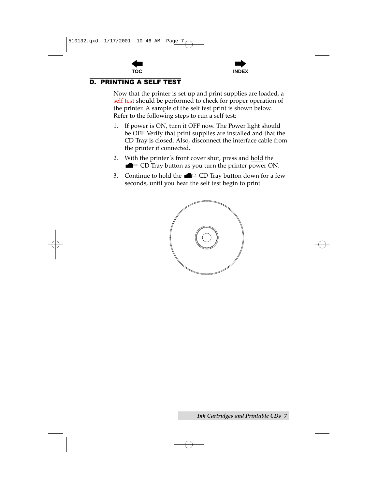



## <span id="page-14-0"></span>**D. PRINTING A SELF TEST**

Now that the printer is set up and print supplies are loaded, a self test should be performed to check for proper operation of the printer. A sample of the self test print is shown below. Refer to the following steps to run a self test:

- If power is ON, turn it OFF now. The Power light should 1. be OFF. Verify that print supplies are installed and that the CD Tray is closed. Also, disconnect the interface cable from the printer if connected.
- With the printer's front cover shut, press and hold the 2.  $\blacksquare$  = CD Tray button as you turn the printer power ON.
- 3. Continue to hold the  $\blacksquare$  = CD Tray button down for a few seconds, until you hear the self test begin to print.

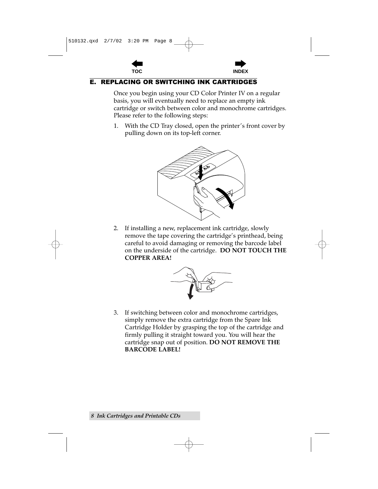

## <span id="page-15-0"></span>E. REPLACING OR SWITCHING INK CARTRIDGES

Once you begin using your CD Color Printer IV on a regular basis, you will eventually need to replace an empty ink cartridge or switch between color and monochrome cartridges. Please refer to the following steps:

1. With the CD Tray closed, open the printer's front cover by pulling down on its top-left corner.



2. If installing a new, replacement ink cartridge, slowly remove the tape covering the cartridge's printhead, being careful to avoid damaging or removing the barcode label on the underside of the cartridge. **DO NOT TOUCH THE COPPER AREA!**



3. If switching between color and monochrome cartridges, simply remove the extra cartridge from the Spare Ink Cartridge Holder by grasping the top of the cartridge and firmly pulling it straight toward you. You will hear the cartridge snap out of position. **DO NOT REMOVE THE BARCODE LABEL!**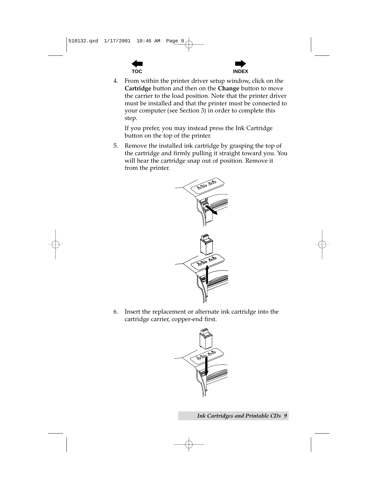



From within the printer driver setup window, click on the 4. Cartridge button and then on the Change button to move the carrier to the load position. Note that the printer driver must be installed and that the printer must be connected to your computer (see Section 3) in order to complete this step.

If you prefer, you may instead press the Ink Cartridge button on the top of the printer.

Remove the installed ink cartridge by grasping the top of 5. the cartridge and firmly pulling it straight toward you. You will hear the cartridge snap out of position. Remove it from the printer.



Insert the replacement or alternate ink cartridge into the 6. cartridge carrier, copper-end first.



**Ink Cartridges and Printable CDs 9**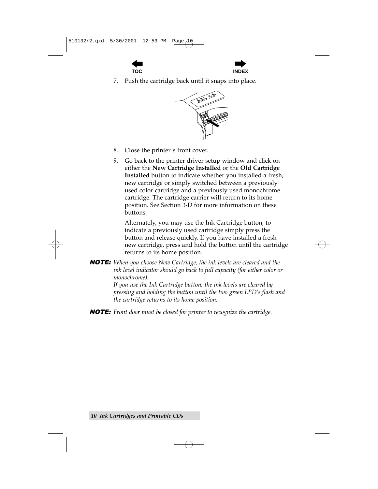



Push the cartridge back until it snaps into place. 7.



- 8. Close the printer's front cover.
- 9. Go back to the printer driver setup window and click on either the New Cartridge Installed or the Old Cartridge Installed button to indicate whether you installed a fresh, new cartridge or simply switched between a previously used color cartridge and a previously used monochrome cartridge. The cartridge carrier will return to its home position. See Section 3-D for more information on these **buttons**

Alternately, you may use the Ink Cartridge button; to indicate a previously used cartridge simply press the button and release quickly. If you have installed a fresh new cartridge, press and hold the button until the cartridge returns to its home position.

**NOTE:** When you choose New Cartridge, the ink levels are cleared and the ink level indicator should go back to full capacity (for either color or monochrome).

If you use the Ink Cartridge button, the ink levels are cleared by pressing and holding the button until the two green LED's flash and the cartridge returns to its home position.

**NOTE:** Front door must be closed for printer to recognize the cartridge.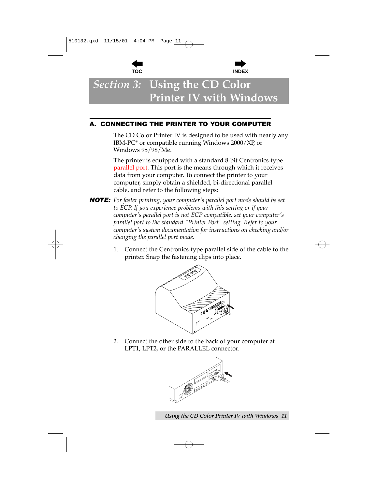



## <span id="page-18-0"></span>*Section 3:* **Using the CD Color Printer IV with Windows**

## A. CONNECTING THE PRINTER TO YOUR COMPUTER

The CD Color Printer IV is designed to be used with nearly any IBM-PC® or compatible running Windows 2000/XP, or Windows 95/98/Me.

The printer is equipped with a standard 8-bit Centronics-type parallel port. This port is the means through which it receives data from your computer. To connect the printer to your computer, simply obtain a shielded, bi-directional parallel cable, and refer to the following steps:

- *NOTE: For faster printing, your computer's parallel port mode should be set to ECP. If you experience problems with this setting or if your computer's parallel port is not ECP compatible, set your computer's parallel port to the standard "Printer Port" setting. Refer to your computer's system documentation for instructions on checking and/or changing the parallel port mode.*
	- 1. Connect the Centronics-type parallel side of the cable to the printer. Snap the fastening clips into place.



2. Connect the other side to the back of your computer at LPT1, LPT2, or the PARALLEL connector.



*Using the CD Color Printer IV with Windows 11*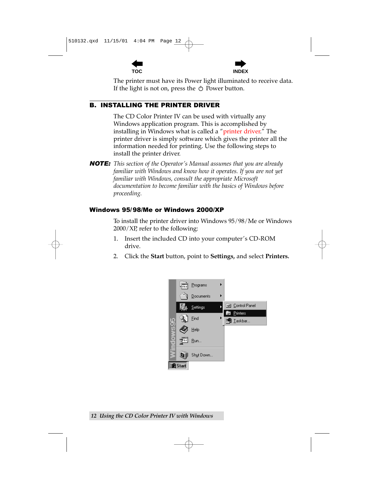

**TOC INDEX**

<span id="page-19-0"></span>The printer must have its Power light illuminated to receive data. If the light is not on, press the  $\circlearrowleft$  Power button.

## B. INSTALLING THE PRINTER DRIVER

The CD Color Printer IV can be used with virtually any Windows application program. This is accomplished by installing in Windows what is called a "printer driver." The printer driver is simply software which gives the printer all the information needed for printing. Use the following steps to install the printer driver.

*NOTE: This section of the Operator's Manual assumes that you are already familiar with Windows and know how it operates. If you are not yet familiar with Windows, consult the appropriate Microsoft documentation to become familiar with the basics of Windows before proceeding.*

## Windows 95/98/Me or Windows 2000/XP

To install the printer driver into Windows 95/98/Me or Windows 2000/XP, refer to the following:

- 1. Insert the included CD into your computer's CD-ROM drive.
- 2. Click the **Start** button, point to **Settings,** and select **Printers.**

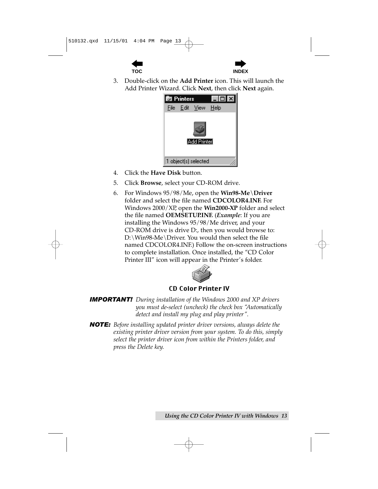



3. Double-click on the **Add Printer** icon. This will launch the Add Printer Wizard. Click **Next**, then click **Next** again.



- 4. Click the **Have Disk** button.
- 5. Click **Browse**, select your CD-ROM drive.
- 6. For Windows 95/98/Me, open the **Win98-Me\Driver** folder and select the file named **CDCOLOR4.INF.** For Windows 2000/XP, open the **Win2000-XP** folder and select the file named **OEMSETUP.INF.** (*Example*: If you are installing the Windows 95/98/Me driver, and your CD-ROM drive is drive D:, then you would browse to: D:\Win98-Me\Driver. You would then select the file named CDCOLOR4.INF.) Follow the on-screen instructions to complete installation. Once installed, the "CD Color Printer III" icon will appear in the Printer's folder.



## CD Color Printer IV

*IMPORTANT! During installation of the Windows 2000 and XP drivers you must de-select (uncheck) the check box "Automatically detect and install my plug and play printer".*

*NOTE: Before installing updated printer driver versions, always delete the existing printer driver version from your system. To do this, simply select the printer driver icon from within the Printers folder, and press the Delete key.*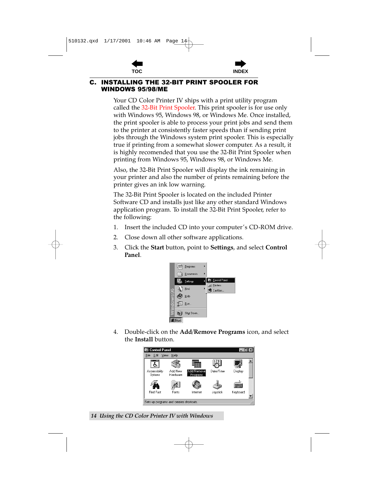



#### <span id="page-21-0"></span>**INSTALLING THE 32-BIT PRINT SPOOLER FOR** C. **WINDOWS 95/98/ME**

Your CD Color Printer IV ships with a print utility program called the 32-Bit Print Spooler. This print spooler is for use only with Windows 95, Windows 98, or Windows Me. Once installed, the print spooler is able to process your print jobs and send them to the printer at consistently faster speeds than if sending print jobs through the Windows system print spooler. This is especially true if printing from a somewhat slower computer. As a result, it is highly recomended that you use the 32-Bit Print Spooler when printing from Windows 95, Windows 98, or Windows Me.

Also, the 32-Bit Print Spooler will display the ink remaining in your printer and also the number of prints remaining before the printer gives an ink low warning.

The 32-Bit Print Spooler is located on the included Printer Software CD and installs just like any other standard Windows application program. To install the 32-Bit Print Spooler, refer to the following:

- 1. Insert the included CD into your computer's CD-ROM drive.
- 2. Close down all other software applications.
- 3. Click the **Start** button, point to **Settings**, and select **Control** Panel.



4. Double-click on the Add/Remove Programs icon, and select the Install button.



14 Using the CD Color Printer IV with Windows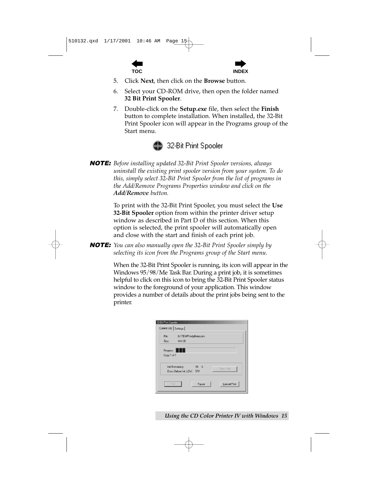



- 5 Click Next, then click on the **Browse** button.
- 6 Select your CD-ROM drive, then open the folder named 32 Bit Print Spooler.
- 7. Double-click on the **Setup.exe** file, then select the **Finish** button to complete installation. When installed, the 32-Bit Print Spooler icon will appear in the Programs group of the Start menu.



**NOTE:** Before installing updated 32-Bit Print Spooler versions, always uninstall the existing print spooler version from your system. To do this, simply select 32-Bit Print Spooler from the list of programs in the Add/Remove Programs Properties window and click on the **Add/Remove** button.

> To print with the 32-Bit Print Spooler, you must select the Use 32-Bit Spooler option from within the printer driver setup window as described in Part D of this section. When this option is selected, the print spooler will automatically open and close with the start and finish of each print job.

**NOTE:** You can also manually open the 32-Bit Print Spooler simply by selecting its icon from the Programs group of the Start menu.

> When the 32-Bit Print Spooler is running, its icon will appear in the Windows 95/98/Me Task Bar. During a print job, it is sometimes helpful to click on this icon to bring the 32-Bit Print Spooler status window to the foreground of your application. This window provides a number of details about the print jobs being sent to the printer.

| File:       | G:\TEMP\IndyMono.pm                    |
|-------------|----------------------------------------|
| Size:       | 444 KR                                 |
| Progress    |                                        |
|             |                                        |
| Copy 1 of 1 |                                        |
|             | Ink Remaining:<br>$99 \tImes$          |
|             | Check INK<br>Discs Before Ink LOW: 574 |

Using the CD Color Printer IV with Windows 15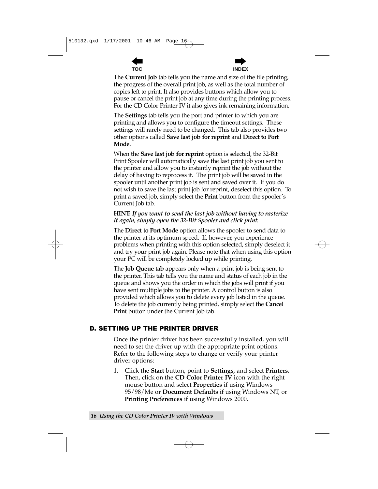



<span id="page-23-0"></span>The **Current Job** tab tells you the name and size of the file printing, the progress of the overall print job, as well as the total number of copies left to print. It also provides buttons which allow you to pause or cancel the print job at any time during the printing process. For the CD Color Printer IV it also gives ink remaining information.

The Settings tab tells you the port and printer to which you are printing and allows you to configure the timeout settings. These settings will rarely need to be changed. This tab also provides two other options called Save last job for reprint and Direct to Port Mode.

When the **Save last job for reprint** option is selected, the 32-Bit Print Spooler will automatically save the last print job you sent to the printer and allow you to instantly reprint the job without the delay of having to reprocess it. The print job will be saved in the spooler until another print job is sent and saved over it. If you do not wish to save the last print job for reprint, deselect this option. To print a saved job, simply select the **Print** button from the spooler's Current Job tab.

## HINT: If you want to send the last job without having to rasterize it again, simply open the 32-Bit Spooler and click print.

The **Direct to Port Mode** option allows the spooler to send data to the printer at its optimum speed. If, however, you experience problems when printing with this option selected, simply deselect it and try your print job again. Please note that when using this option your PC will be completely locked up while printing.

The **Job Queue tab** appears only when a print job is being sent to the printer. This tab tells you the name and status of each job in the queue and shows you the order in which the jobs will print if you have sent multiple jobs to the printer. A control button is also provided which allows you to delete every job listed in the queue. To delete the job currently being printed, simply select the **Cancel Print** button under the Current Job tab.

## **D. SETTING UP THE PRINTER DRIVER**

Once the printer driver has been successfully installed, you will need to set the driver up with the appropriate print options. Refer to the following steps to change or verify your printer driver options:

Click the **Start** button, point to **Settings**, and select **Printers.** 1. Then, click on the **CD Color Printer IV** icon with the right mouse button and select **Properties** if using Windows 95/98/Me or **Document Defaults** if using Windows NT, or **Printing Preferences** if using Windows 2000.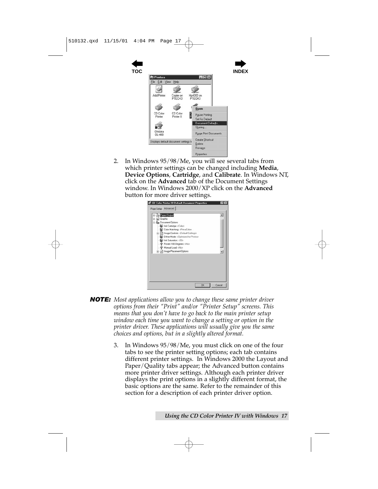

2. In Windows 95/98/Me, you will see several tabs from which printer settings can be changed including **Media**, **Device Options**, **Cartridge**, and **Calibrate**. In Windows NT, click on the **Advanced** tab of the Document Settings window. In Windows 2000/XP click on the **Advanced** button for more driver settings.



- *NOTE: Most applications allow you to change these same printer driver options from their "Print" and/or "Printer Setup" screens. This means that you don't have to go back to the main printer setup window each time you want to change a setting or option in the printer driver. These applications will usually give you the same choices and options, but in a slightly altered format.*
	- 3. In Windows 95/98/Me, you must click on one of the four tabs to see the printer setting options; each tab contains different printer settings. In Windows 2000 the Layout and Paper/Quality tabs appear; the Advanced button contains more printer driver settings. Although each printer driver displays the print options in a slightly different format, the basic options are the same. Refer to the remainder of this section for a description of each printer driver option.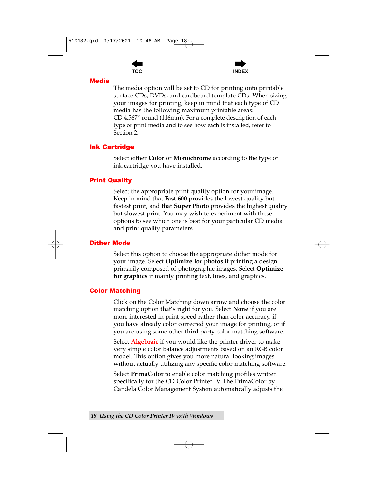



### <span id="page-25-0"></span>**Media**

The media option will be set to CD for printing onto printable surface CDs, DVDs, and cardboard template CDs. When sizing your images for printing, keep in mind that each type of CD media has the following maximum printable areas: CD 4.567" round (116mm). For a complete description of each type of print media and to see how each is installed, refer to Section 2.

### **Ink Cartridge**

Select either Color or Monochrome according to the type of ink cartridge you have installed.

### **Print Quality**

Select the appropriate print quality option for your image. Keep in mind that Fast 600 provides the lowest quality but fastest print, and that Super Photo provides the highest quality but slowest print. You may wish to experiment with these options to see which one is best for your particular CD media and print quality parameters.

### **Dither Mode**

Select this option to choose the appropriate dither mode for your image. Select Optimize for photos if printing a design primarily composed of photographic images. Select Optimize for graphics if mainly printing text, lines, and graphics.

### **Color Matching**

Click on the Color Matching down arrow and choose the color matching option that's right for you. Select None if you are more interested in print speed rather than color accuracy, if you have already color corrected your image for printing, or if you are using some other third party color matching software.

Select **Algebraic** if you would like the printer driver to make very simple color balance adjustments based on an RGB color model. This option gives you more natural looking images without actually utilizing any specific color matching software.

Select PrimaColor to enable color matching profiles written specifically for the CD Color Printer IV. The PrimaColor by Candela Color Management System automatically adjusts the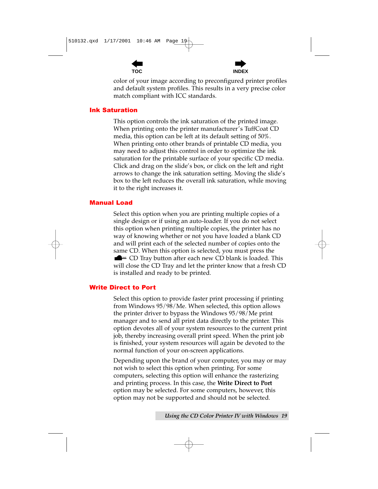



<span id="page-26-0"></span>color of your image according to preconfigured printer profiles and default system profiles. This results in a very precise color match compliant with ICC standards.

### **Ink Saturation**

This option controls the ink saturation of the printed image. When printing onto the printer manufacturer's TuffCoat CD media, this option can be left at its default setting of 50%. When printing onto other brands of printable CD media, you may need to adjust this control in order to optimize the ink saturation for the printable surface of your specific CD media. Click and drag on the slide's box, or click on the left and right arrows to change the ink saturation setting. Moving the slide's box to the left reduces the overall ink saturation, while moving it to the right increases it.

### **Manual Load**

Select this option when you are printing multiple copies of a single design or if using an auto-loader. If you do not select this option when printing multiple copies, the printer has no way of knowing whether or not you have loaded a blank CD and will print each of the selected number of copies onto the same CD. When this option is selected, you must press the  $\blacksquare$  = CD Tray button after each new CD blank is loaded. This will close the CD Tray and let the printer know that a fresh CD is installed and ready to be printed.

### **Write Direct to Port**

Select this option to provide faster print processing if printing from Windows 95/98/Me. When selected, this option allows the printer driver to bypass the Windows 95/98/Me print manager and to send all print data directly to the printer. This option devotes all of your system resources to the current print job, thereby increasing overall print speed. When the print job is finished, your system resources will again be devoted to the normal function of your on-screen applications.

Depending upon the brand of your computer, you may or may not wish to select this option when printing. For some computers, selecting this option will enhance the rasterizing and printing process. In this case, the Write Direct to Port option may be selected. For some computers, however, this option may not be supported and should not be selected.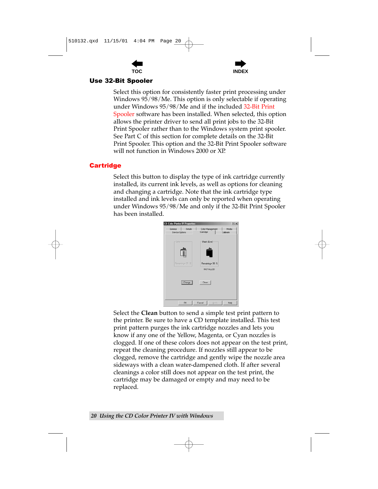



### <span id="page-27-0"></span>Use 32-Bit Spooler

Select this option for consistently faster print processing under Windows 95/98/Me. This option is only selectable if operating under Windows 95/98/Me and if the included 32-Bit Print Spooler software has been installed. When selected, this option allows the printer driver to send all print jobs to the 32-Bit Print Spooler rather than to the Windows system print spooler. See Part C of this section for complete details on the 32-Bit Print Spooler. This option and the 32-Bit Print Spooler software will not function in Windows 2000 or XP.

## **Cartridge**

Select this button to display the type of ink cartridge currently installed, its current ink levels, as well as options for cleaning and changing a cartridge. Note that the ink cartridge type installed and ink levels can only be reported when operating under Windows 95/98/Me and only if the 32-Bit Print Spooler has been installed.



Select the **Clean** button to send a simple test print pattern to the printer. Be sure to have a CD template installed. This test print pattern purges the ink cartridge nozzles and lets you know if any one of the Yellow, Magenta, or Cyan nozzles is clogged. If one of these colors does not appear on the test print, repeat the cleaning procedure. If nozzles still appear to be clogged, remove the cartridge and gently wipe the nozzle area sideways with a clean water-dampened cloth. If after several cleanings a color still does not appear on the test print, the cartridge may be damaged or empty and may need to be replaced.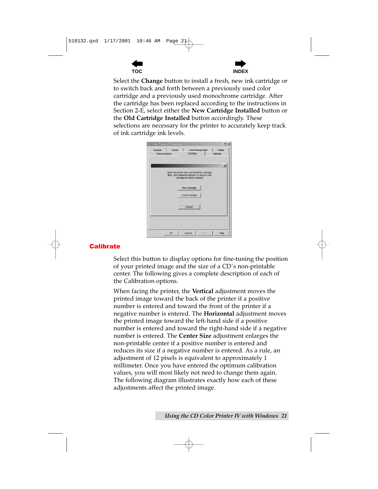



<span id="page-28-0"></span>Select the Change button to install a fresh, new ink cartridge or to switch back and forth between a previously used color cartridge and a previously used monochrome cartridge. After the cartridge has been replaced according to the instructions in Section 2-E, select either the New Cartridge Installed button or the Old Cartridge Installed button accordingly. These selections are necessary for the printer to accurately keep track of ink cartridge ink levels.

| <b>CD Color Printer IV Properties</b>                                                                                               |                       |                  | $?$ $\times$       |  |
|-------------------------------------------------------------------------------------------------------------------------------------|-----------------------|------------------|--------------------|--|
| Details<br>General<br>Device Options                                                                                                | Cartridge             | Color Management | Media<br>Calibrate |  |
|                                                                                                                                     |                       |                  | $\vert x \vert$    |  |
| Open the printer door and install the cartridge;<br>then, click below to indicate if a new or used<br>cartridge has been installed. |                       |                  |                    |  |
|                                                                                                                                     | New Cartridge         |                  |                    |  |
|                                                                                                                                     | <b>Used Cartridge</b> |                  |                    |  |
|                                                                                                                                     | Cancel                |                  |                    |  |
|                                                                                                                                     |                       |                  |                    |  |
| <b>OK</b>                                                                                                                           | Cancel                | Apply            | Help               |  |

## **Calibrate**

Select this button to display options for fine-tuning the position of your printed image and the size of a CD's non-printable center. The following gives a complete description of each of the Calibration options.

When facing the printer, the Vertical adjustment moves the printed image toward the back of the printer if a positive number is entered and toward the front of the printer if a negative number is entered. The **Horizontal** adjustment moves the printed image toward the left-hand side if a positive number is entered and toward the right-hand side if a negative number is entered. The Center Size adjustment enlarges the non-printable center if a positive number is entered and reduces its size if a negative number is entered. As a rule, an adjustment of 12 pixels is equivalent to approximately 1 millimeter. Once you have entered the optimum calibration values, you will most likely not need to change them again. The following diagram illustrates exactly how each of these adjustments affect the printed image.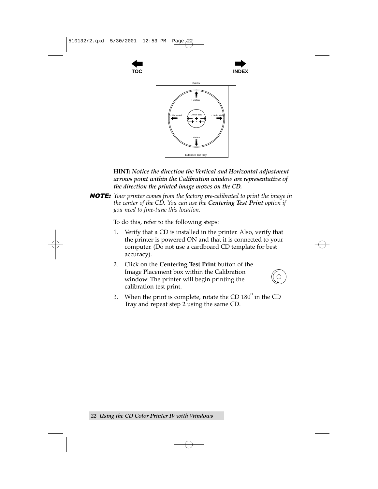





**HINT:** Notice the direction the Vertical and Horizontal adjustment arrows point within the Calibration window are representative of the direction the printed image moves on the CD.

**NOTE:** Your printer comes from the factory pre-calibrated to print the image in the center of the CD. You can use the **Centering Test Print** option if you need to fine-tune this location.

To do this, refer to the following steps:

- Verify that a CD is installed in the printer. Also, verify that 1. the printer is powered ON and that it is connected to your computer. (Do not use a cardboard CD template for best accuracy).
- 2. Click on the **Centering Test Print** button of the Image Placement box within the Calibration window. The printer will begin printing the calibration test print.



When the print is complete, rotate the CD  $180^\circ$  in the CD 3. Tray and repeat step 2 using the same CD.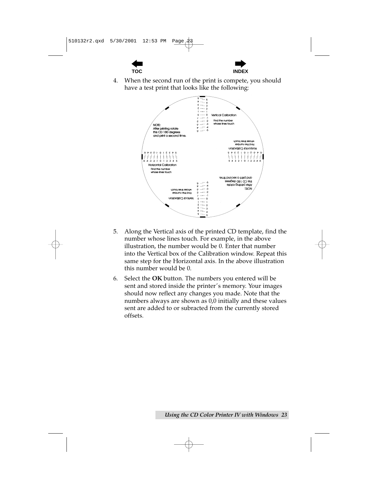



 $\overline{4}$ . When the second run of the print is compete, you should have a test print that looks like the following:



- 5. Along the Vertical axis of the printed CD template, find the number whose lines touch. For example, in the above illustration, the number would be 0. Enter that number into the Vertical box of the Calibration window. Repeat this same step for the Horizontal axis. In the above illustration this number would be 0.
- Select the OK button. The numbers you entered will be 6. sent and stored inside the printer's memory. Your images should now reflect any changes you made. Note that the numbers always are shown as 0,0 initially and these values sent are added to or subracted from the currently stored offsets.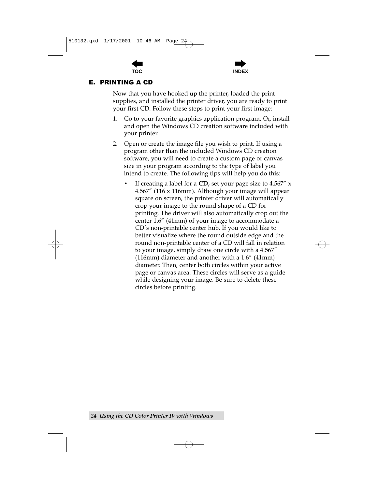

### <span id="page-31-0"></span>**E. PRINTING A CD**

Now that you have hooked up the printer, loaded the print supplies, and installed the printer driver, you are ready to print your first CD. Follow these steps to print your first image:

- Go to your favorite graphics application program. Or, install 1. and open the Windows CD creation software included with your printer.
- 2. Open or create the image file you wish to print. If using a program other than the included Windows CD creation software, you will need to create a custom page or canvas size in your program according to the type of label you intend to create. The following tips will help you do this:
	- If creating a label for a  $CD$ , set your page size to 4.567" x 4.567" (116 x 116mm). Although your image will appear square on screen, the printer driver will automatically crop your image to the round shape of a CD for printing. The driver will also automatically crop out the center 1.6" (41mm) of your image to accommodate a CD's non-printable center hub. If you would like to better visualize where the round outside edge and the round non-printable center of a CD will fall in relation to your image, simply draw one circle with a 4.567"  $(116mm)$  diameter and another with a  $1.6''$   $(41mm)$ diameter. Then, center both circles within your active page or canvas area. These circles will serve as a guide while designing your image. Be sure to delete these circles before printing.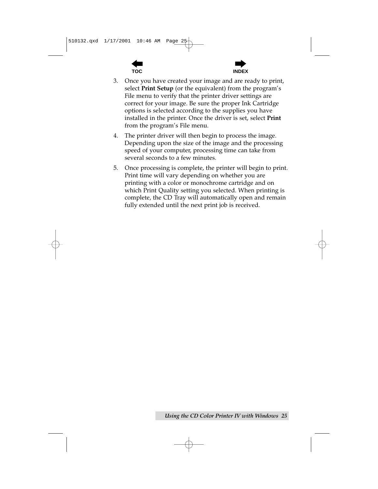



- 3. Once you have created your image and are ready to print, select Print Setup (or the equivalent) from the program's File menu to verify that the printer driver settings are correct for your image. Be sure the proper Ink Cartridge options is selected according to the supplies you have installed in the printer. Once the driver is set, select Print from the program's File menu.
- The printer driver will then begin to process the image. 4. Depending upon the size of the image and the processing speed of your computer, processing time can take from several seconds to a few minutes.
- 5. Once processing is complete, the printer will begin to print. Print time will vary depending on whether you are printing with a color or monochrome cartridge and on which Print Quality setting you selected. When printing is complete, the CD Tray will automatically open and remain fully extended until the next print job is received.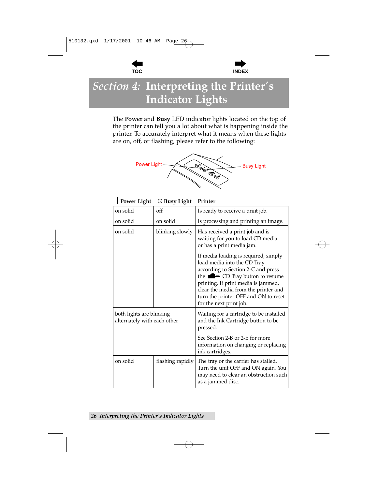



## <span id="page-33-0"></span>Section 4: Interpreting the Printer's **Indicator Lights**

The Power and Busy LED indicator lights located on the top of the printer can tell you a lot about what is happening inside the printer. To accurately interpret what it means when these lights are on, off, or flashing, please refer to the following:



|  | Power Light © Busy Light Printer |  |
|--|----------------------------------|--|
|  |                                  |  |

| on solid                                                | off              | Is ready to receive a print job.                                                                                                                                                                                                                                                                             |
|---------------------------------------------------------|------------------|--------------------------------------------------------------------------------------------------------------------------------------------------------------------------------------------------------------------------------------------------------------------------------------------------------------|
| on solid                                                | on solid         | Is processing and printing an image.                                                                                                                                                                                                                                                                         |
| on solid<br>blinking slowly                             |                  | Has received a print job and is<br>waiting for you to load CD media<br>or has a print media jam.                                                                                                                                                                                                             |
|                                                         |                  | If media loading is required, simply<br>load media into the CD Tray<br>according to Section 2-C and press<br>the $\blacksquare$ = CD Tray button to resume<br>printing. If print media is jammed,<br>clear the media from the printer and<br>turn the printer OFF and ON to reset<br>for the next print job. |
| both lights are blinking<br>alternately with each other |                  | Waiting for a cartridge to be installed<br>and the Ink Cartridge button to be<br>pressed.                                                                                                                                                                                                                    |
|                                                         |                  | See Section 2-B or 2-E for more<br>information on changing or replacing<br>ink cartridges.                                                                                                                                                                                                                   |
| on solid                                                | flashing rapidly | The tray or the carrier has stalled.<br>Turn the unit OFF and ON again. You<br>may need to clear an obstruction such<br>as a jammed disc.                                                                                                                                                                    |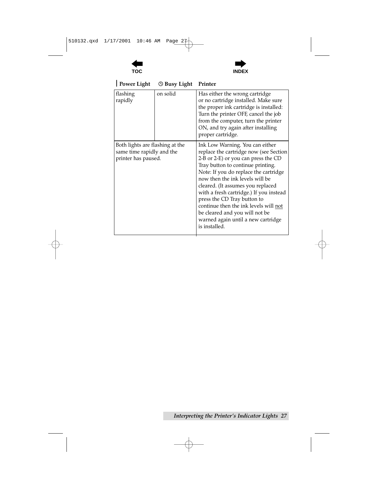

 $\ddot{\phantom{a}}$ 



| <b>Power Light</b>                                                                  | <b>O Busy Light</b> | Printer                                                                                                                                                                                                                                                                                                                                                                                                                                                                            |
|-------------------------------------------------------------------------------------|---------------------|------------------------------------------------------------------------------------------------------------------------------------------------------------------------------------------------------------------------------------------------------------------------------------------------------------------------------------------------------------------------------------------------------------------------------------------------------------------------------------|
| flashing<br>rapidly                                                                 | on solid            | Has either the wrong cartridge<br>or no cartridge installed. Make sure<br>the proper ink cartridge is installed:<br>Turn the printer OFF, cancel the job<br>from the computer, turn the printer<br>ON, and try again after installing<br>proper cartridge.                                                                                                                                                                                                                         |
| Both lights are flashing at the<br>same time rapidly and the<br>printer has paused. |                     | Ink Low Warning. You can either<br>replace the cartridge now (see Section<br>2-B or 2-E) or you can press the CD<br>Tray button to continue printing.<br>Note: If you do replace the cartridge<br>now then the ink levels will be<br>cleared. (It assumes you replaced<br>with a fresh cartridge.) If you instead<br>press the CD Tray button to<br>continue then the ink levels will not<br>be cleared and you will not be<br>warned again until a new cartridge<br>is installed. |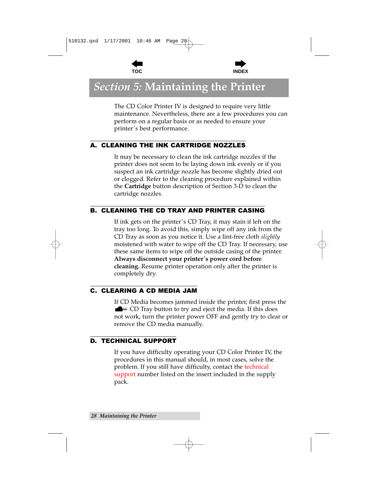



## <span id="page-35-0"></span>**Section 5: Maintaining the Printer**

The CD Color Printer IV is designed to require very little maintenance. Nevertheless, there are a few procedures you can perform on a regular basis or as needed to ensure your printer's best performance.

## A. CLEANING THE INK CARTRIDGE NOZZLES

It may be necessary to clean the ink cartridge nozzles if the printer does not seem to be laying down ink evenly or if you suspect an ink cartridge nozzle has become slightly dried out or clogged. Refer to the cleaning procedure explained within the **Cartridge** button description of Section 3-D to clean the cartridge nozzles.

## **B. CLEANING THE CD TRAY AND PRINTER CASING**

If ink gets on the printer's CD Tray, it may stain if left on the tray too long. To avoid this, simply wipe off any ink from the CD Tray as soon as you notice it. Use a lint-free cloth *slightly* moistened with water to wipe off the CD Tray. If necessary, use these same items to wipe off the outside casing of the printer. Always disconnect your printer's power cord before **cleaning.** Resume printer operation only after the printer is completely dry.

## **C. CLEARING A CD MEDIA JAM**

If CD Media becomes jammed inside the printer, first press the  $\blacksquare$  = CD Tray button to try and eject the media. If this does not work, turn the printer power OFF and gently try to clear or remove the CD media manually.

## **D. TECHNICAL SUPPORT**

If you have difficulty operating your CD Color Printer IV, the procedures in this manual should, in most cases, solve the problem. If you still have difficulty, contact the technical support number listed on the insert included in the supply pack.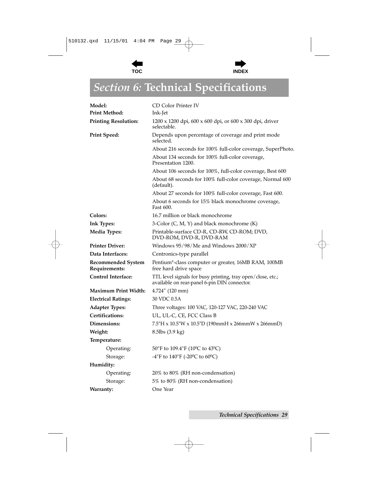



## <span id="page-36-0"></span>*Section 6:* **Technical Specifications**

| Model:                              | CD Color Printer IV                                                                                         |
|-------------------------------------|-------------------------------------------------------------------------------------------------------------|
| <b>Print Method:</b>                | Ink-Jet                                                                                                     |
| <b>Printing Resolution:</b>         | 1200 x 1200 dpi, 600 x 600 dpi, or 600 x 300 dpi, driver<br>selectable.                                     |
| <b>Print Speed:</b>                 | Depends upon percentage of coverage and print mode<br>selected.                                             |
|                                     | About 216 seconds for 100% full-color coverage, SuperPhoto.                                                 |
|                                     | About 134 seconds for 100% full-color coverage,<br>Presentation 1200.                                       |
|                                     | About 106 seconds for 100%, full-color coverage, Best 600                                                   |
|                                     | About 68 seconds for 100% full-color coverage, Normal 600<br>(default).                                     |
|                                     | About 27 seconds for 100% full-color coverage, Fast 600.                                                    |
|                                     | About 6 seconds for 15% black monochrome coverage,<br>Fast 600.                                             |
| Colors:                             | 16.7 million or black monochrome                                                                            |
| Ink Types:                          | 3-Color $(C, M, Y)$ and black monochrome $(K)$                                                              |
| <b>Media Types:</b>                 | Printable-surface CD-R, CD-RW, CD-ROM; DVD,<br>DVD-ROM, DVD-R, DVD-RAM                                      |
| <b>Printer Driver:</b>              | Windows 95/98/Me and Windows 2000/XP                                                                        |
| Data Interfaces:                    | Centronics-type parallel                                                                                    |
| Recommended System<br>Requirements: | Pentium®-class computer or greater, 16MB RAM, 100MB<br>free hard drive space                                |
| <b>Control Interface:</b>           | TTL level signals for busy printing, tray open/close, etc.;<br>available on rear-panel 6-pin DIN connector. |
| <b>Maximum Print Width:</b>         | 4.724" (120 mm)                                                                                             |
| <b>Electrical Ratings:</b>          | 30 VDC 0.5A                                                                                                 |
| <b>Adapter Types:</b>               | Three voltages: 100 VAC, 120-127 VAC, 220-240 VAC                                                           |
| Certifications:                     | UL, UL-C, CE, FCC Class B                                                                                   |
| Dimensions:                         | $7.5$ "H x 10.5"W x 10.5"D (190mmH x 266mmW x 266mmD)                                                       |
| Weight:                             | $8.5$ lbs $(3.9 \text{ kg})$                                                                                |
| Temperature:                        |                                                                                                             |
| Operating:                          | 50°F to 109.4°F (10°C to 43°C)                                                                              |
| Storage:                            | -4°F to 140°F (-20°C to 60°C)                                                                               |
| Humidity:                           |                                                                                                             |
| Operating:                          | 20% to 80% (RH non-condensation)                                                                            |
| Storage:                            | 5% to 80% (RH non-condensation)                                                                             |
| Warranty:                           | One Year                                                                                                    |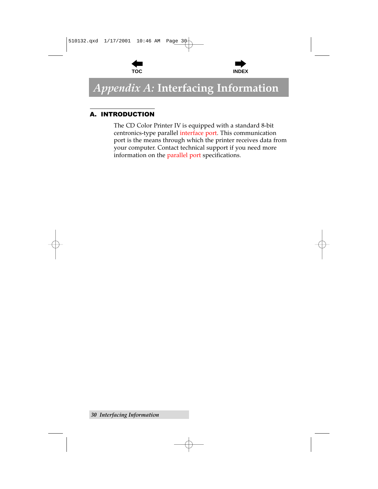



## <span id="page-37-0"></span>Appendix A: Interfacing Information

## **A. INTRODUCTION**

The CD Color Printer IV is equipped with a standard 8-bit centronics-type parallel interface port. This communication port is the means through which the printer receives data from your computer. Contact technical support if you need more information on the parallel port specifications.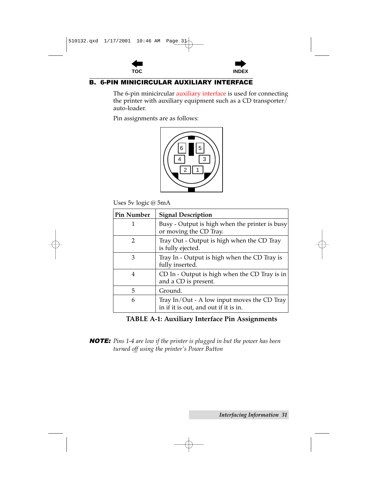



## <span id="page-38-0"></span>**B. 6-PIN MINICIRCULAR AUXILIARY INTERFACE**

The 6-pin minicircular auxiliary interface is used for connecting the printer with auxiliary equipment such as a CD transporter/ auto-loader.

Pin assignments are as follows:



Uses 5v logic @ 5mA

| <b>Pin Number</b> | <b>Signal Description</b>                                                            |
|-------------------|--------------------------------------------------------------------------------------|
| 1                 | Busy - Output is high when the printer is busy<br>or moving the CD Tray.             |
| 2                 | Tray Out - Output is high when the CD Tray<br>is fully ejected.                      |
| 3                 | Tray In - Output is high when the CD Tray is<br>fully inserted.                      |
| 4                 | CD In - Output is high when the CD Tray is in<br>and a CD is present.                |
| 5                 | Ground.                                                                              |
| 6                 | Tray In/Out - A low input moves the CD Tray<br>in if it is out, and out if it is in. |

## TABLE A-1: Auxiliary Interface Pin Assignments

**NOTE:** Pins 1-4 are low if the printer is plugged in but the power has been turned off using the printer's Power Button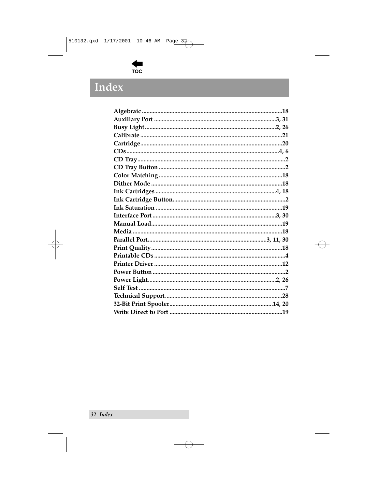

## <span id="page-39-0"></span>Index